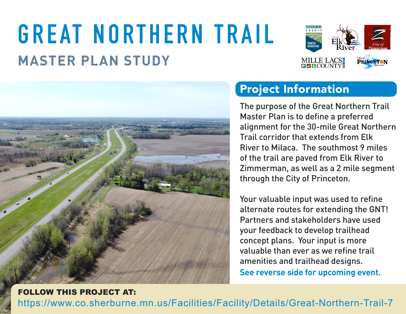# **MASTER PLAN STUDY GREAT NORTHERN TRAIL**





## Project Information

The purpose of the Great Northern Trail Master Plan is to define a preferred alignment for the 30-mile Great Northern Trail corridor that extends from Elk River to Milaca. The southmost 9 miles of the trail are paved from Elk River to Zimmerman, as well as a 2 mile segment through the City of Princeton.

Your valuable input was used to refine alternate routes for extending the GNT! Partners and stakeholders have used your feedback to develop trailhead concept plans. Your input is more valuable than ever as we refine trail amenities and trailhead designs.

**See reverse side for upcoming event.** 

#### https://www.co.sherburne.mn.us/Facilities/Facility/Details/Great-Northern-Trail-7 FOLLOW THIS PROJECT AT: